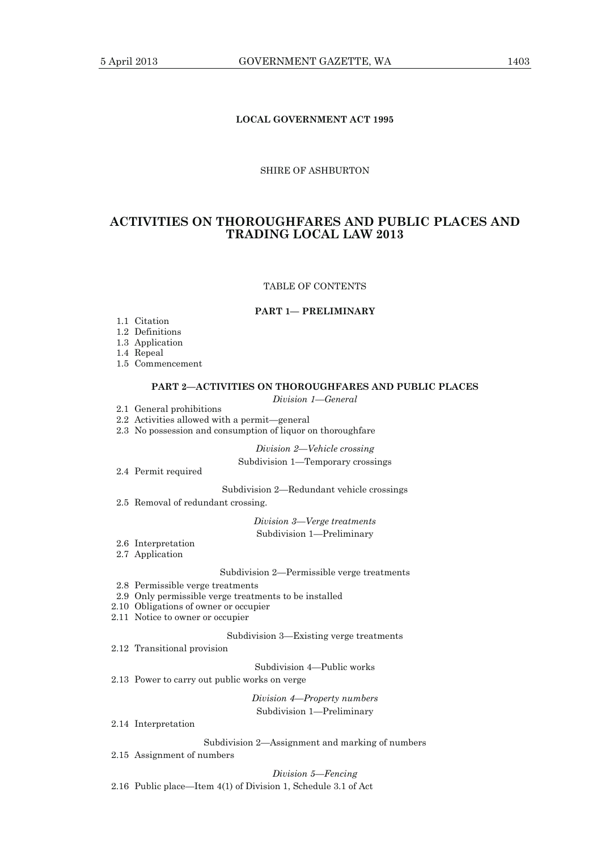# **LOCAL GOVERNMENT ACT 1995**

## SHIRE OF ASHBURTON

# **ACTIVITIES ON THOROUGHFARES AND PUBLIC PLACES AND TRADING LOCAL LAW 2013**

#### TABLE OF CONTENTS

#### **PART 1— PRELIMINARY**

- 1.1 Citation
- 1.2 Definitions
- 1.3 Application
- 1.4 Repeal
- 1.5 Commencement

### **PART 2—ACTIVITIES ON THOROUGHFARES AND PUBLIC PLACES**

*Division 1—General* 

- 2.1 General prohibitions
- 2.2 Activities allowed with a permit—general
- 2.3 No possession and consumption of liquor on thoroughfare

*Division 2—Vehicle crossing* 

### Subdivision 1—Temporary crossings

2.4 Permit required

Subdivision 2—Redundant vehicle crossings

2.5 Removal of redundant crossing.

*Division 3—Verge treatments* 

Subdivision 1—Preliminary

- 2.6 Interpretation
- 2.7 Application

#### Subdivision 2—Permissible verge treatments

- 2.8 Permissible verge treatments
- 2.9 Only permissible verge treatments to be installed
- 2.10 Obligations of owner or occupier
- 2.11 Notice to owner or occupier

### Subdivision 3—Existing verge treatments

2.12 Transitional provision

Subdivision 4—Public works

2.13 Power to carry out public works on verge

*Division 4—Property numbers*  Subdivision 1—Preliminary

2.14 Interpretation

Subdivision 2—Assignment and marking of numbers

2.15 Assignment of numbers

*Division 5—Fencing* 

2.16 Public place—Item 4(1) of Division 1, Schedule 3.1 of Act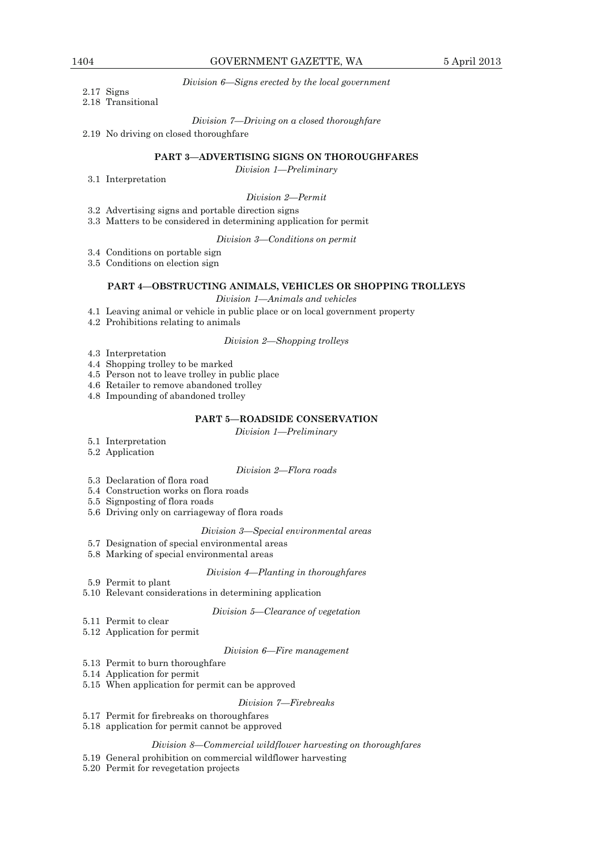*Division 6—Signs erected by the local government* 

# 2.17 Signs

# 2.18 Transitional

*Division 7—Driving on a closed thoroughfare* 

2.19 No driving on closed thoroughfare

## **PART 3—ADVERTISING SIGNS ON THOROUGHFARES**

*Division 1—Preliminary* 

#### 3.1 Interpretation

*Division 2—Permit* 

- 3.2 Advertising signs and portable direction signs
- 3.3 Matters to be considered in determining application for permit

*Division 3—Conditions on permit* 

- 3.4 Conditions on portable sign
- 3.5 Conditions on election sign

# **PART 4—OBSTRUCTING ANIMALS, VEHICLES OR SHOPPING TROLLEYS**

### *Division 1—Animals and vehicles*

- 4.1 Leaving animal or vehicle in public place or on local government property
- 4.2 Prohibitions relating to animals

### *Division 2—Shopping trolleys*

- 4.3 Interpretation
- 4.4 Shopping trolley to be marked
- 4.5 Person not to leave trolley in public place
- 4.6 Retailer to remove abandoned trolley
- 4.8 Impounding of abandoned trolley

# **PART 5—ROADSIDE CONSERVATION**

*Division 1—Preliminary* 

- 5.1 Interpretation
- 5.2 Application

#### *Division 2—Flora roads*

- 5.3 Declaration of flora road
- 5.4 Construction works on flora roads
- 5.5 Signposting of flora roads
- 5.6 Driving only on carriageway of flora roads

### *Division 3—Special environmental areas*

- 5.7 Designation of special environmental areas
- 5.8 Marking of special environmental areas

#### *Division 4—Planting in thoroughfares*

- 5.9 Permit to plant
- 5.10 Relevant considerations in determining application

#### *Division 5—Clearance of vegetation*

- 5.11 Permit to clear
- 5.12 Application for permit

#### *Division 6—Fire management*

- 5.13 Permit to burn thoroughfare
- 5.14 Application for permit
- 5.15 When application for permit can be approved

#### *Division 7—Firebreaks*

- 5.17 Permit for firebreaks on thoroughfares
- 5.18 application for permit cannot be approved

# *Division 8—Commercial wildflower harvesting on thoroughfares*

# 5.19 General prohibition on commercial wildflower harvesting

5.20 Permit for revegetation projects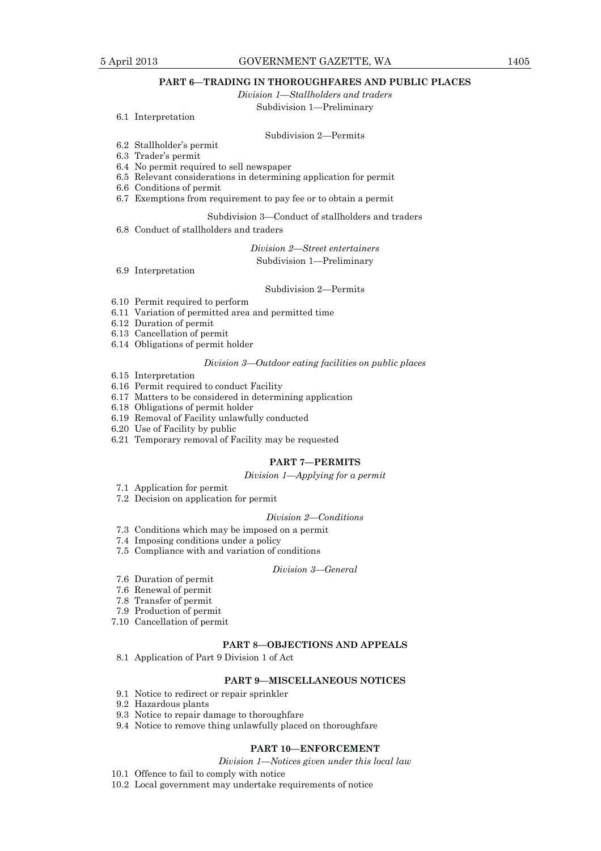# **PART 6—TRADING IN THOROUGHFARES AND PUBLIC PLACES**

*Division 1—Stallholders and traders* 

### Subdivision 1—Preliminary

6.1 Interpretation

### Subdivision 2—Permits

- 6.2 Stallholder's permit
- 6.3 Trader's permit
- 6.4 No permit required to sell newspaper
- 6.5 Relevant considerations in determining application for permit
- 6.6 Conditions of permit
- 6.7 Exemptions from requirement to pay fee or to obtain a permit

# Subdivision 3—Conduct of stallholders and traders

6.8 Conduct of stallholders and traders

*Division 2—Street entertainers* 

### Subdivision 1—Preliminary

6.9 Interpretation

#### Subdivision 2—Permits

- 6.10 Permit required to perform
- 6.11 Variation of permitted area and permitted time
- 6.12 Duration of permit
- 6.13 Cancellation of permit
- 6.14 Obligations of permit holder

# *Division 3—Outdoor eating facilities on public places*

- 6.15 Interpretation
- 6.16 Permit required to conduct Facility
- 6.17 Matters to be considered in determining application
- 6.18 Obligations of permit holder
- 6.19 Removal of Facility unlawfully conducted
- 6.20 Use of Facility by public
- 6.21 Temporary removal of Facility may be requested

# **PART 7—PERMITS**

#### *Division 1—Applying for a permit*

- 7.1 Application for permit
- 7.2 Decision on application for permit

#### *Division 2—Conditions*

- 7.3 Conditions which may be imposed on a permit
- 7.4 Imposing conditions under a policy
- 7.5 Compliance with and variation of conditions

### *Division 3—General*

- 7.6 Duration of permit
- 7.6 Renewal of permit
- 7.8 Transfer of permit
- 7.9 Production of permit
- 7.10 Cancellation of permit

# **PART 8—OBJECTIONS AND APPEALS**

8.1 Application of Part 9 Division 1 of Act

# **PART 9—MISCELLANEOUS NOTICES**

- 9.1 Notice to redirect or repair sprinkler
- 9.2 Hazardous plants
- 9.3 Notice to repair damage to thoroughfare
- 9.4 Notice to remove thing unlawfully placed on thoroughfare

# **PART 10—ENFORCEMENT**

- *Division 1—Notices given under this local law*
- 10.1 Offence to fail to comply with notice
- 10.2 Local government may undertake requirements of notice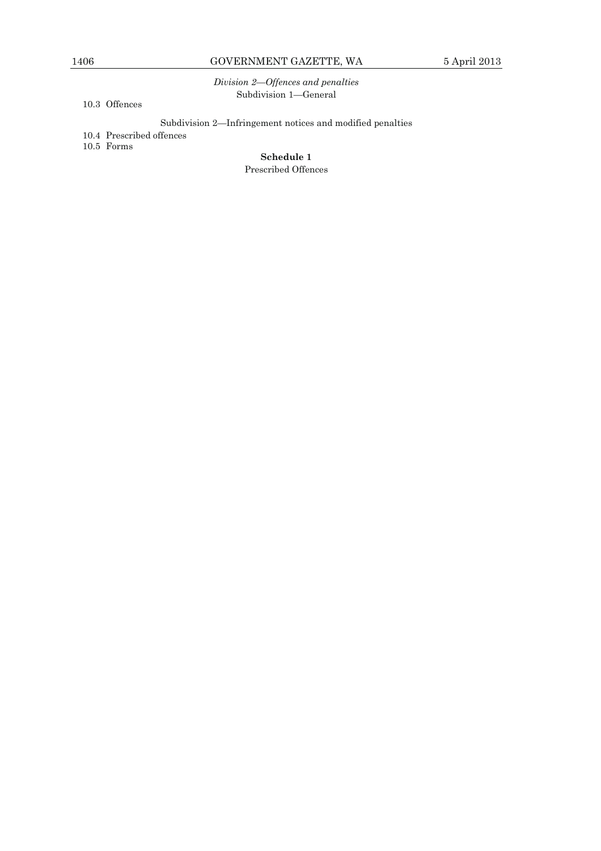*Division 2—Offences and penalties*  Subdivision 1—General

10.3 Offences

Subdivision 2—Infringement notices and modified penalties

10.4 Prescribed offences

10.5 Forms

**Schedule 1**  Prescribed Offences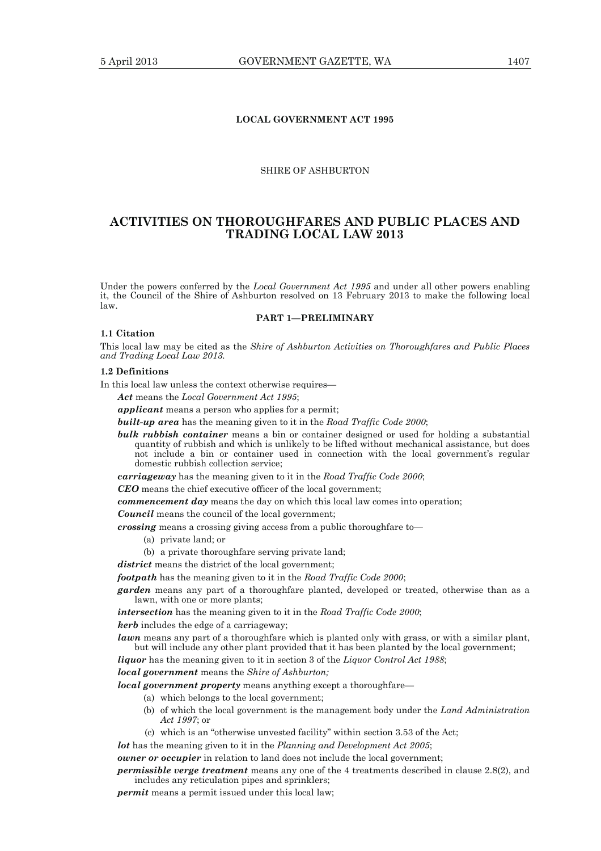# **LOCAL GOVERNMENT ACT 1995**

### SHIRE OF ASHBURTON

# **ACTIVITIES ON THOROUGHFARES AND PUBLIC PLACES AND TRADING LOCAL LAW 2013**

Under the powers conferred by the *Local Government Act 1995* and under all other powers enabling it, the Council of the Shire of Ashburton resolved on 13 February 2013 to make the following local law.

### **PART 1—PRELIMINARY**

#### **1.1 Citation**

This local law may be cited as the *Shire of Ashburton Activities on Thoroughfares and Public Places and Trading Local Law 2013.* 

# **1.2 Definitions**

In this local law unless the context otherwise requires—

*Act* means the *Local Government Act 1995*;

*applicant* means a person who applies for a permit;

*built-up area* has the meaning given to it in the *Road Traffic Code 2000*;

*bulk rubbish container* means a bin or container designed or used for holding a substantial quantity of rubbish and which is unlikely to be lifted without mechanical assistance, but does not include a bin or container used in connection with the local government's regular domestic rubbish collection service;

*carriageway* has the meaning given to it in the *Road Traffic Code 2000*;

*CEO* means the chief executive officer of the local government;

*commencement day* means the day on which this local law comes into operation;

*Council* means the council of the local government;

*crossing* means a crossing giving access from a public thoroughfare to—

- (a) private land; or
- (b) a private thoroughfare serving private land;

*district* means the district of the local government:

*footpath* has the meaning given to it in the *Road Traffic Code 2000*;

*garden* means any part of a thoroughfare planted, developed or treated, otherwise than as a lawn, with one or more plants;

*intersection* has the meaning given to it in the *Road Traffic Code 2000*;

*kerb* includes the edge of a carriageway;

*lawn* means any part of a thoroughfare which is planted only with grass, or with a similar plant. but will include any other plant provided that it has been planted by the local government;

*liquor* has the meaning given to it in section 3 of the *Liquor Control Act 1988*;

*local government* means the *Shire of Ashburton;* 

*local government property* means anything except a thoroughfare—

- (a) which belongs to the local government;
- (b) of which the local government is the management body under the *Land Administration Act 1997*; or
- (c) which is an "otherwise unvested facility" within section 3.53 of the Act;

*lot* has the meaning given to it in the *Planning and Development Act 2005*;

*owner or occupier* in relation to land does not include the local government;

*permissible verge treatment* means any one of the 4 treatments described in clause 2.8(2), and includes any reticulation pipes and sprinklers;

*permit* means a permit issued under this local law;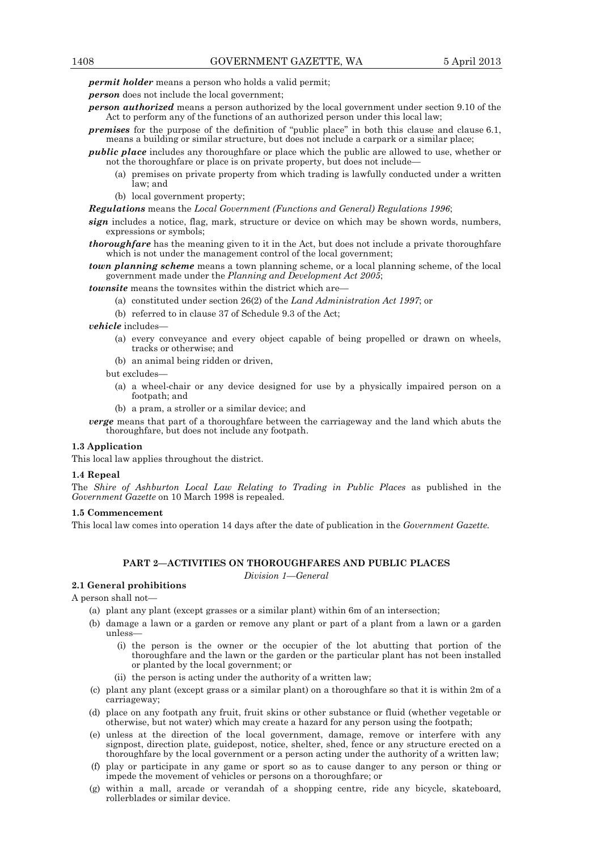*permit holder* means a person who holds a valid permit;

*person* does not include the local government;

- *person authorized* means a person authorized by the local government under section 9.10 of the Act to perform any of the functions of an authorized person under this local law;
- *premises* for the purpose of the definition of "public place" in both this clause and clause 6.1, means a building or similar structure, but does not include a carpark or a similar place;
- *public place* includes any thoroughfare or place which the public are allowed to use, whether or not the thoroughfare or place is on private property, but does not include—
	- (a) premises on private property from which trading is lawfully conducted under a written law; and
	- (b) local government property;

#### *Regulations* means the *Local Government (Functions and General) Regulations 1996*;

- *sign* includes a notice, flag, mark, structure or device on which may be shown words, numbers, expressions or symbols;
- *thoroughfare* has the meaning given to it in the Act, but does not include a private thoroughfare which is not under the management control of the local government;
- *town planning scheme* means a town planning scheme, or a local planning scheme, of the local government made under the *Planning and Development Act 2005*;

*townsite* means the townsites within the district which are—

- (a) constituted under section 26(2) of the *Land Administration Act 1997*; or
- (b) referred to in clause 37 of Schedule 9.3 of the Act;

*vehicle* includes—

- (a) every conveyance and every object capable of being propelled or drawn on wheels, tracks or otherwise; and
- (b) an animal being ridden or driven,

but excludes—

- (a) a wheel-chair or any device designed for use by a physically impaired person on a footpath; and
- (b) a pram, a stroller or a similar device; and
- *verge* means that part of a thoroughfare between the carriageway and the land which abuts the thoroughfare, but does not include any footpath.

# **1.3 Application**

This local law applies throughout the district.

#### **1.4 Repeal**

The *Shire of Ashburton Local Law Relating to Trading in Public Places* as published in the *Government Gazette* on 10 March 1998 is repealed.

### **1.5 Commencement**

This local law comes into operation 14 days after the date of publication in the *Government Gazette.* 

# **PART 2—ACTIVITIES ON THOROUGHFARES AND PUBLIC PLACES**

*Division 1—General* 

### **2.1 General prohibitions**

A person shall not—

- (a) plant any plant (except grasses or a similar plant) within 6m of an intersection;
- (b) damage a lawn or a garden or remove any plant or part of a plant from a lawn or a garden unless—
	- (i) the person is the owner or the occupier of the lot abutting that portion of the thoroughfare and the lawn or the garden or the particular plant has not been installed or planted by the local government; or
	- (ii) the person is acting under the authority of a written law;
- (c) plant any plant (except grass or a similar plant) on a thoroughfare so that it is within 2m of a carriageway;
- (d) place on any footpath any fruit, fruit skins or other substance or fluid (whether vegetable or otherwise, but not water) which may create a hazard for any person using the footpath;
- (e) unless at the direction of the local government, damage, remove or interfere with any signpost, direction plate, guidepost, notice, shelter, shed, fence or any structure erected on a thoroughfare by the local government or a person acting under the authority of a written law;
- (f) play or participate in any game or sport so as to cause danger to any person or thing or impede the movement of vehicles or persons on a thoroughfare; or
- (g) within a mall, arcade or verandah of a shopping centre, ride any bicycle, skateboard, rollerblades or similar device.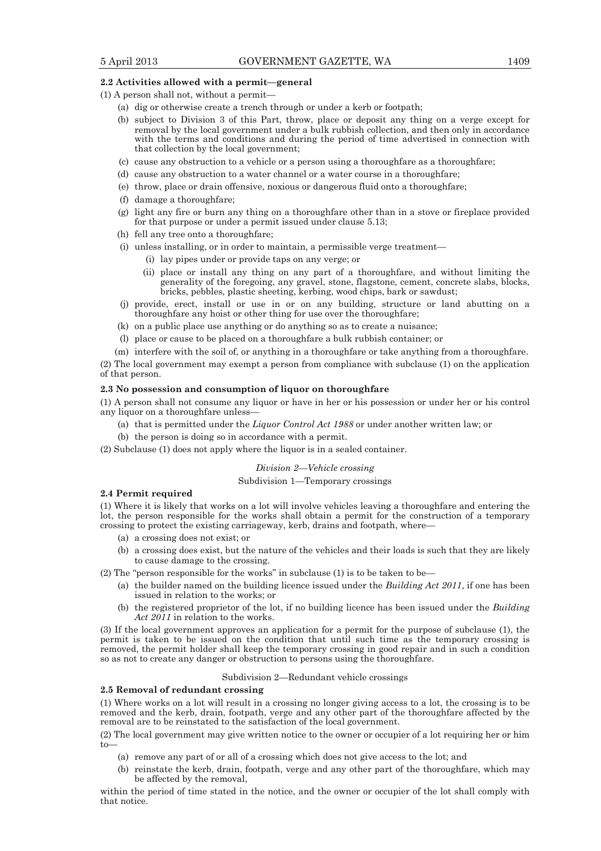#### **2.2 Activities allowed with a permit—general**

(1) A person shall not, without a permit—

- (a) dig or otherwise create a trench through or under a kerb or footpath;
- (b) subject to Division 3 of this Part, throw, place or deposit any thing on a verge except for removal by the local government under a bulk rubbish collection, and then only in accordance with the terms and conditions and during the period of time advertised in connection with that collection by the local government;
- (c) cause any obstruction to a vehicle or a person using a thoroughfare as a thoroughfare;
- (d) cause any obstruction to a water channel or a water course in a thoroughfare;
- (e) throw, place or drain offensive, noxious or dangerous fluid onto a thoroughfare;
- (f) damage a thoroughfare;
- (g) light any fire or burn any thing on a thoroughfare other than in a stove or fireplace provided for that purpose or under a permit issued under clause 5.13;
- (h) fell any tree onto a thoroughfare;
- (i) unless installing, or in order to maintain, a permissible verge treatment—
	- (i) lay pipes under or provide taps on any verge; or
		- (ii) place or install any thing on any part of a thoroughfare, and without limiting the generality of the foregoing, any gravel, stone, flagstone, cement, concrete slabs, blocks, bricks, pebbles, plastic sheeting, kerbing, wood chips, bark or sawdust;
- (j) provide, erect, install or use in or on any building, structure or land abutting on a thoroughfare any hoist or other thing for use over the thoroughfare;
- (k) on a public place use anything or do anything so as to create a nuisance;
- (l) place or cause to be placed on a thoroughfare a bulk rubbish container; or
- (m) interfere with the soil of, or anything in a thoroughfare or take anything from a thoroughfare.

(2) The local government may exempt a person from compliance with subclause (1) on the application of that person.

# **2.3 No possession and consumption of liquor on thoroughfare**

(1) A person shall not consume any liquor or have in her or his possession or under her or his control any liquor on a thoroughfare unless—

- (a) that is permitted under the *Liquor Control Act 1988* or under another written law; or
- (b) the person is doing so in accordance with a permit.

(2) Subclause (1) does not apply where the liquor is in a sealed container.

## *Division 2—Vehicle crossing*

#### Subdivision 1—Temporary crossings

#### **2.4 Permit required**

(1) Where it is likely that works on a lot will involve vehicles leaving a thoroughfare and entering the lot, the person responsible for the works shall obtain a permit for the construction of a temporary crossing to protect the existing carriageway, kerb, drains and footpath, where—

- (a) a crossing does not exist; or
- (b) a crossing does exist, but the nature of the vehicles and their loads is such that they are likely to cause damage to the crossing.

(2) The "person responsible for the works" in subclause  $(1)$  is to be taken to be—

- (a) the builder named on the building licence issued under the *Building Act 2011*, if one has been issued in relation to the works; or
- (b) the registered proprietor of the lot, if no building licence has been issued under the *Building Act 2011* in relation to the works.

(3) If the local government approves an application for a permit for the purpose of subclause (1), the permit is taken to be issued on the condition that until such time as the temporary crossing is removed, the permit holder shall keep the temporary crossing in good repair and in such a condition so as not to create any danger or obstruction to persons using the thoroughfare.

#### Subdivision 2—Redundant vehicle crossings

# **2.5 Removal of redundant crossing**

(1) Where works on a lot will result in a crossing no longer giving access to a lot, the crossing is to be removed and the kerb, drain, footpath, verge and any other part of the thoroughfare affected by the removal are to be reinstated to the satisfaction of the local government.

(2) The local government may give written notice to the owner or occupier of a lot requiring her or him to—

- (a) remove any part of or all of a crossing which does not give access to the lot; and
- (b) reinstate the kerb, drain, footpath, verge and any other part of the thoroughfare, which may be affected by the removal,

within the period of time stated in the notice, and the owner or occupier of the lot shall comply with that notice.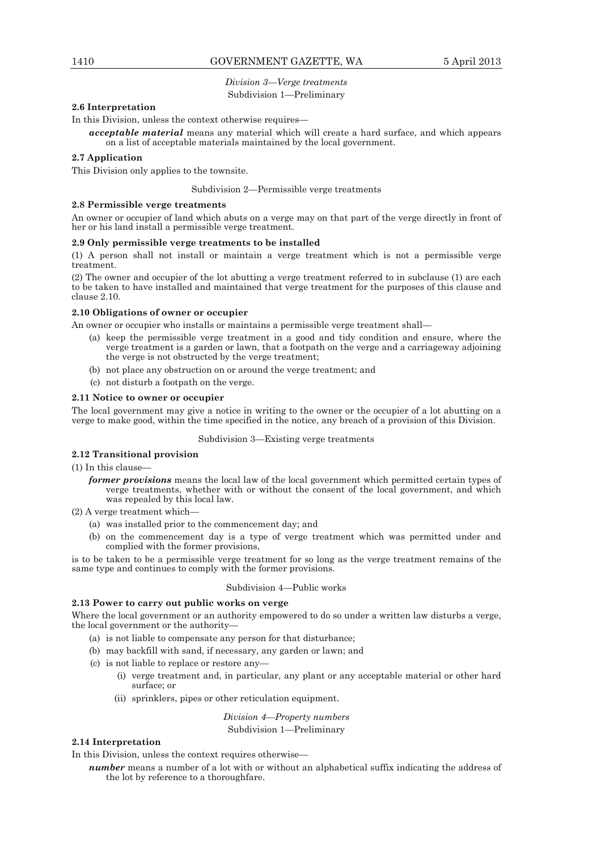# *Division 3—Verge treatments*  Subdivision 1—Preliminary

# **2.6 Interpretation**

In this Division, unless the context otherwise requires—

*acceptable material* means any material which will create a hard surface, and which appears on a list of acceptable materials maintained by the local government.

### **2.7 Application**

This Division only applies to the townsite.

#### Subdivision 2—Permissible verge treatments

## **2.8 Permissible verge treatments**

An owner or occupier of land which abuts on a verge may on that part of the verge directly in front of her or his land install a permissible verge treatment.

#### **2.9 Only permissible verge treatments to be installed**

(1) A person shall not install or maintain a verge treatment which is not a permissible verge treatment.

(2) The owner and occupier of the lot abutting a verge treatment referred to in subclause (1) are each to be taken to have installed and maintained that verge treatment for the purposes of this clause and clause 2.10.

## **2.10 Obligations of owner or occupier**

An owner or occupier who installs or maintains a permissible verge treatment shall—

- (a) keep the permissible verge treatment in a good and tidy condition and ensure, where the verge treatment is a garden or lawn, that a footpath on the verge and a carriageway adjoining the verge is not obstructed by the verge treatment;
- (b) not place any obstruction on or around the verge treatment; and
- (c) not disturb a footpath on the verge.

#### **2.11 Notice to owner or occupier**

The local government may give a notice in writing to the owner or the occupier of a lot abutting on a verge to make good, within the time specified in the notice, any breach of a provision of this Division.

#### Subdivision 3—Existing verge treatments

#### **2.12 Transitional provision**

(1) In this clause—

- *former provisions* means the local law of the local government which permitted certain types of verge treatments, whether with or without the consent of the local government, and which was repealed by this local law.
- (2) A verge treatment which—
	- (a) was installed prior to the commencement day; and
	- (b) on the commencement day is a type of verge treatment which was permitted under and complied with the former provisions,

is to be taken to be a permissible verge treatment for so long as the verge treatment remains of the same type and continues to comply with the former provisions.

#### Subdivision 4—Public works

### **2.13 Power to carry out public works on verge**

Where the local government or an authority empowered to do so under a written law disturbs a verge, the local government or the authority—

- (a) is not liable to compensate any person for that disturbance;
- (b) may backfill with sand, if necessary, any garden or lawn; and
- (c) is not liable to replace or restore any—
	- (i) verge treatment and, in particular, any plant or any acceptable material or other hard surface; or
	- (ii) sprinklers, pipes or other reticulation equipment.

*Division 4—Property numbers*  Subdivision 1—Preliminary

### **2.14 Interpretation**

In this Division, unless the context requires otherwise—

*number* means a number of a lot with or without an alphabetical suffix indicating the address of the lot by reference to a thoroughfare.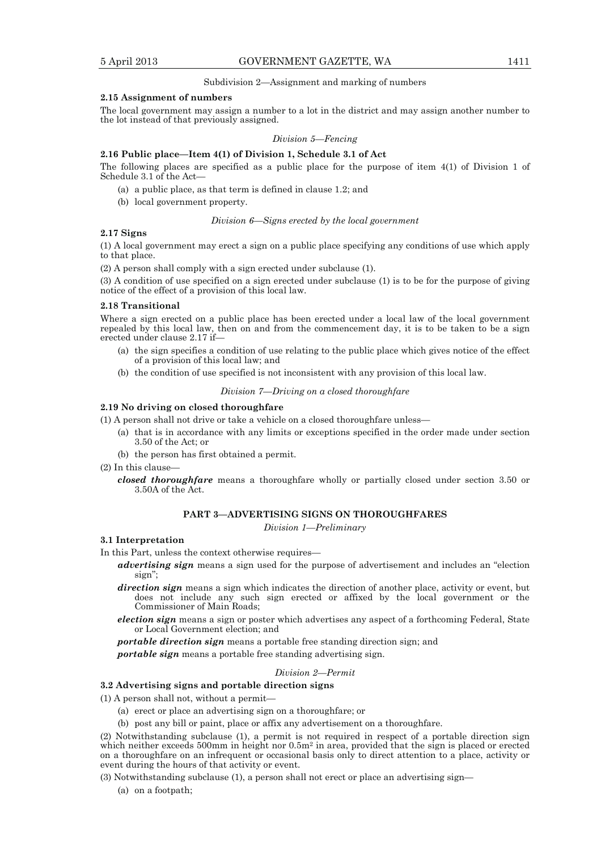#### Subdivision 2—Assignment and marking of numbers

#### **2.15 Assignment of numbers**

The local government may assign a number to a lot in the district and may assign another number to the lot instead of that previously assigned.

# *Division 5—Fencing*

### **2.16 Public place—Item 4(1) of Division 1, Schedule 3.1 of Act**

The following places are specified as a public place for the purpose of item 4(1) of Division 1 of Schedule 3.1 of the Act—

- (a) a public place, as that term is defined in clause 1.2; and
- (b) local government property.

#### *Division 6—Signs erected by the local government*

### **2.17 Signs**

(1) A local government may erect a sign on a public place specifying any conditions of use which apply to that place.

(2) A person shall comply with a sign erected under subclause (1).

(3) A condition of use specified on a sign erected under subclause (1) is to be for the purpose of giving notice of the effect of a provision of this local law.

#### **2.18 Transitional**

Where a sign erected on a public place has been erected under a local law of the local government repealed by this local law, then on and from the commencement day, it is to be taken to be a sign erected under clause 2.17 if—

- (a) the sign specifies a condition of use relating to the public place which gives notice of the effect of a provision of this local law; and
- (b) the condition of use specified is not inconsistent with any provision of this local law.

*Division 7—Driving on a closed thoroughfare* 

## **2.19 No driving on closed thoroughfare**

(1) A person shall not drive or take a vehicle on a closed thoroughfare unless—

- (a) that is in accordance with any limits or exceptions specified in the order made under section 3.50 of the Act; or
- (b) the person has first obtained a permit.
- (2) In this clause
	- *closed thoroughfare* means a thoroughfare wholly or partially closed under section 3.50 or 3.50A of the Act.

### **PART 3—ADVERTISING SIGNS ON THOROUGHFARES**

*Division 1—Preliminary* 

#### **3.1 Interpretation**

In this Part, unless the context otherwise requires—

- *advertising sign* means a sign used for the purpose of advertisement and includes an "election sign";
- *direction sign* means a sign which indicates the direction of another place, activity or event, but does not include any such sign erected or affixed by the local government or the Commissioner of Main Roads;
- *election sign* means a sign or poster which advertises any aspect of a forthcoming Federal, State or Local Government election; and

*portable direction sign* means a portable free standing direction sign; and

*portable sign* means a portable free standing advertising sign.

### *Division 2—Permit*

# **3.2 Advertising signs and portable direction signs**

(1) A person shall not, without a permit—

- (a) erect or place an advertising sign on a thoroughfare; or
- (b) post any bill or paint, place or affix any advertisement on a thoroughfare.

(2) Notwithstanding subclause (1), a permit is not required in respect of a portable direction sign which neither exceeds 500mm in height nor 0.5m<sup>2</sup> in area, provided that the sign is placed or erected on a thoroughfare on an infrequent or occasional basis only to direct attention to a place, activity or event during the hours of that activity or event.

(3) Notwithstanding subclause (1), a person shall not erect or place an advertising sign—

(a) on a footpath;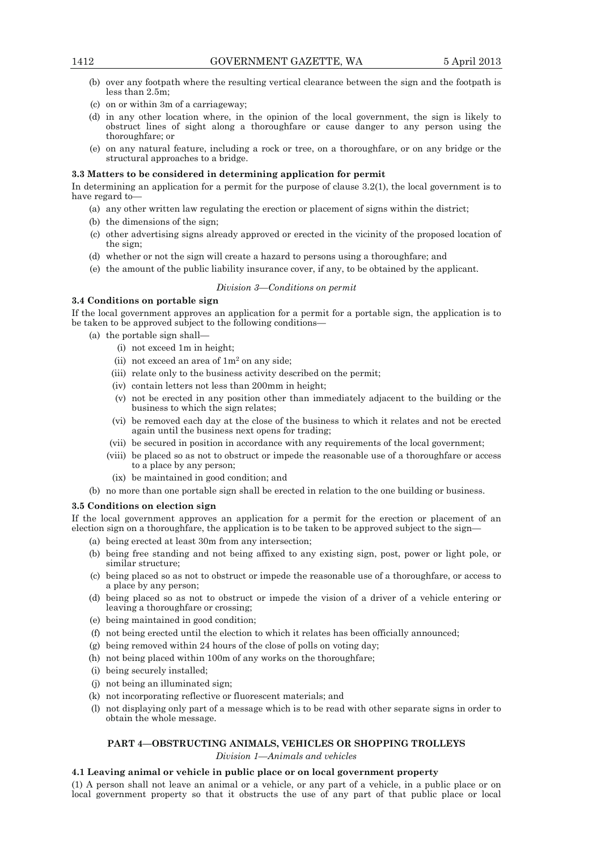- (b) over any footpath where the resulting vertical clearance between the sign and the footpath is less than 2.5m;
- (c) on or within 3m of a carriageway;
- (d) in any other location where, in the opinion of the local government, the sign is likely to obstruct lines of sight along a thoroughfare or cause danger to any person using the thoroughfare; or
- (e) on any natural feature, including a rock or tree, on a thoroughfare, or on any bridge or the structural approaches to a bridge.

### **3.3 Matters to be considered in determining application for permit**

In determining an application for a permit for the purpose of clause 3.2(1), the local government is to have regard to—

- (a) any other written law regulating the erection or placement of signs within the district;
- (b) the dimensions of the sign;
- (c) other advertising signs already approved or erected in the vicinity of the proposed location of the sign;
- (d) whether or not the sign will create a hazard to persons using a thoroughfare; and
- (e) the amount of the public liability insurance cover, if any, to be obtained by the applicant.

### *Division 3—Conditions on permit*

### **3.4 Conditions on portable sign**

If the local government approves an application for a permit for a portable sign, the application is to be taken to be approved subject to the following conditions—

- (a) the portable sign shall—
	- (i) not exceed 1m in height;
	- (ii) not exceed an area of  $1m<sup>2</sup>$  on any side;
	- (iii) relate only to the business activity described on the permit;
	- (iv) contain letters not less than 200mm in height;
	- (v) not be erected in any position other than immediately adjacent to the building or the business to which the sign relates;
	- (vi) be removed each day at the close of the business to which it relates and not be erected again until the business next opens for trading;
	- (vii) be secured in position in accordance with any requirements of the local government;
	- (viii) be placed so as not to obstruct or impede the reasonable use of a thoroughfare or access to a place by any person;
	- (ix) be maintained in good condition; and
- (b) no more than one portable sign shall be erected in relation to the one building or business.

### **3.5 Conditions on election sign**

If the local government approves an application for a permit for the erection or placement of an election sign on a thoroughfare, the application is to be taken to be approved subject to the sign—

- (a) being erected at least 30m from any intersection;
- (b) being free standing and not being affixed to any existing sign, post, power or light pole, or similar structure;
- (c) being placed so as not to obstruct or impede the reasonable use of a thoroughfare, or access to a place by any person;
- (d) being placed so as not to obstruct or impede the vision of a driver of a vehicle entering or leaving a thoroughfare or crossing;
- (e) being maintained in good condition;
- (f) not being erected until the election to which it relates has been officially announced;
- (g) being removed within 24 hours of the close of polls on voting day;
- (h) not being placed within 100m of any works on the thoroughfare;
- (i) being securely installed;
- (j) not being an illuminated sign;
- (k) not incorporating reflective or fluorescent materials; and
- (l) not displaying only part of a message which is to be read with other separate signs in order to obtain the whole message.

### **PART 4—OBSTRUCTING ANIMALS, VEHICLES OR SHOPPING TROLLEYS**

*Division 1—Animals and vehicles* 

### **4.1 Leaving animal or vehicle in public place or on local government property**

(1) A person shall not leave an animal or a vehicle, or any part of a vehicle, in a public place or on local government property so that it obstructs the use of any part of that public place or local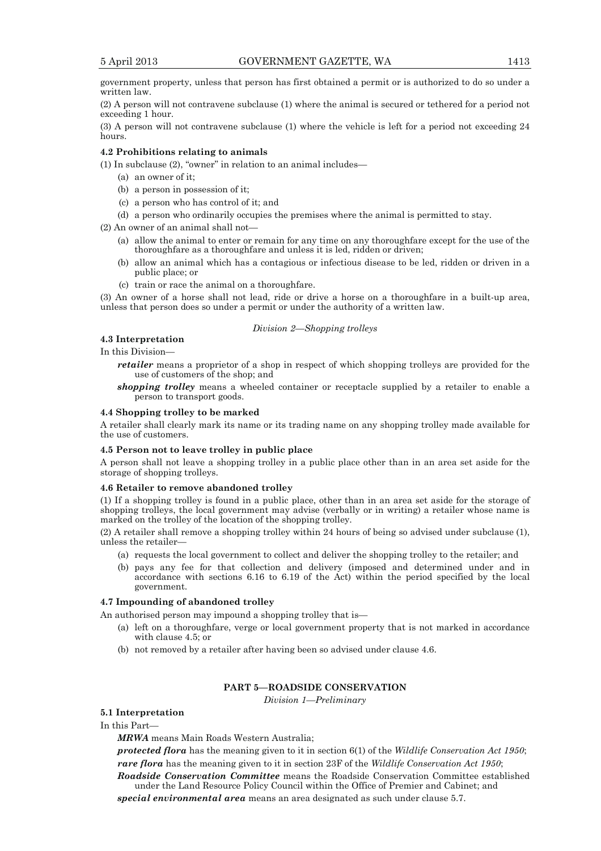government property, unless that person has first obtained a permit or is authorized to do so under a written law.

(2) A person will not contravene subclause (1) where the animal is secured or tethered for a period not exceeding 1 hour.

(3) A person will not contravene subclause (1) where the vehicle is left for a period not exceeding 24 hours.

#### **4.2 Prohibitions relating to animals**

(1) In subclause (2), "owner" in relation to an animal includes—

- (a) an owner of it;
- (b) a person in possession of it;
- (c) a person who has control of it; and
- (d) a person who ordinarily occupies the premises where the animal is permitted to stay.

(2) An owner of an animal shall not—

- (a) allow the animal to enter or remain for any time on any thoroughfare except for the use of the thoroughfare as a thoroughfare and unless it is led, ridden or driven;
- (b) allow an animal which has a contagious or infectious disease to be led, ridden or driven in a public place; or
- (c) train or race the animal on a thoroughfare.

(3) An owner of a horse shall not lead, ride or drive a horse on a thoroughfare in a built-up area, unless that person does so under a permit or under the authority of a written law.

#### *Division 2—Shopping trolleys*

### **4.3 Interpretation**

In this Division—

*retailer* means a proprietor of a shop in respect of which shopping trolleys are provided for the use of customers of the shop; and

*shopping trolley* means a wheeled container or receptacle supplied by a retailer to enable a person to transport goods.

### **4.4 Shopping trolley to be marked**

A retailer shall clearly mark its name or its trading name on any shopping trolley made available for the use of customers.

### **4.5 Person not to leave trolley in public place**

A person shall not leave a shopping trolley in a public place other than in an area set aside for the storage of shopping trolleys.

#### **4.6 Retailer to remove abandoned trolley**

(1) If a shopping trolley is found in a public place, other than in an area set aside for the storage of shopping trolleys, the local government may advise (verbally or in writing) a retailer whose name is marked on the trolley of the location of the shopping trolley.

(2) A retailer shall remove a shopping trolley within 24 hours of being so advised under subclause (1), unless the retailer—

- (a) requests the local government to collect and deliver the shopping trolley to the retailer; and
- (b) pays any fee for that collection and delivery (imposed and determined under and in accordance with sections 6.16 to 6.19 of the Act) within the period specified by the local government.

# **4.7 Impounding of abandoned trolley**

An authorised person may impound a shopping trolley that is—

- (a) left on a thoroughfare, verge or local government property that is not marked in accordance with clause 4.5; or
- (b) not removed by a retailer after having been so advised under clause 4.6.

# **PART 5—ROADSIDE CONSERVATION**

*Division 1—Preliminary* 

# **5.1 Interpretation**

# In this Part—

*MRWA* means Main Roads Western Australia;

*protected flora* has the meaning given to it in section 6(1) of the *Wildlife Conservation Act 1950*; *rare flora* has the meaning given to it in section 23F of the *Wildlife Conservation Act 1950*; *Roadside Conservation Committee* means the Roadside Conservation Committee established

under the Land Resource Policy Council within the Office of Premier and Cabinet; and *special environmental area* means an area designated as such under clause 5.7.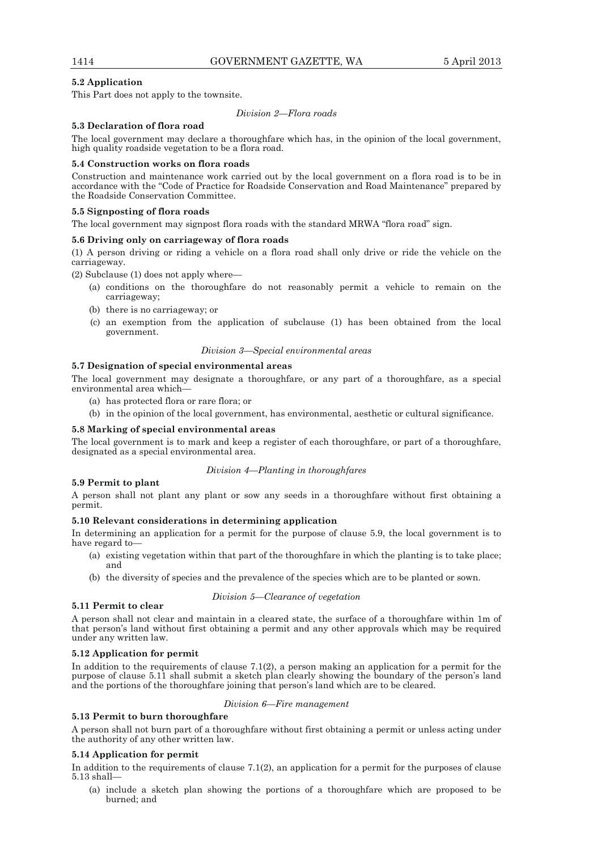# **5.2 Application**

This Part does not apply to the townsite.

*Division 2—Flora roads* 

# **5.3 Declaration of flora road**

The local government may declare a thoroughfare which has, in the opinion of the local government, high quality roadside vegetation to be a flora road.

# **5.4 Construction works on flora roads**

Construction and maintenance work carried out by the local government on a flora road is to be in accordance with the "Code of Practice for Roadside Conservation and Road Maintenance" prepared by the Roadside Conservation Committee.

## **5.5 Signposting of flora roads**

The local government may signpost flora roads with the standard MRWA "flora road" sign.

### **5.6 Driving only on carriageway of flora roads**

(1) A person driving or riding a vehicle on a flora road shall only drive or ride the vehicle on the carriageway.

(2) Subclause (1) does not apply where—

- (a) conditions on the thoroughfare do not reasonably permit a vehicle to remain on the carriageway;
- (b) there is no carriageway; or
- (c) an exemption from the application of subclause (1) has been obtained from the local government.

### *Division 3—Special environmental areas*

# **5.7 Designation of special environmental areas**

The local government may designate a thoroughfare, or any part of a thoroughfare, as a special environmental area which—

- (a) has protected flora or rare flora; or
- (b) in the opinion of the local government, has environmental, aesthetic or cultural significance.

# **5.8 Marking of special environmental areas**

The local government is to mark and keep a register of each thoroughfare, or part of a thoroughfare, designated as a special environmental area.

# *Division 4—Planting in thoroughfares*

# **5.9 Permit to plant**

A person shall not plant any plant or sow any seeds in a thoroughfare without first obtaining a permit.

# **5.10 Relevant considerations in determining application**

In determining an application for a permit for the purpose of clause 5.9, the local government is to have regard to—

- (a) existing vegetation within that part of the thoroughfare in which the planting is to take place; and
- (b) the diversity of species and the prevalence of the species which are to be planted or sown.

## *Division 5—Clearance of vegetation*

# **5.11 Permit to clear**

A person shall not clear and maintain in a cleared state, the surface of a thoroughfare within 1m of that person's land without first obtaining a permit and any other approvals which may be required under any written law.

# **5.12 Application for permit**

In addition to the requirements of clause 7.1(2), a person making an application for a permit for the purpose of clause 5.11 shall submit a sketch plan clearly showing the boundary of the person's land and the portions of the thoroughfare joining that person's land which are to be cleared.

### *Division 6—Fire management*

# **5.13 Permit to burn thoroughfare**

A person shall not burn part of a thoroughfare without first obtaining a permit or unless acting under the authority of any other written law.

# **5.14 Application for permit**

In addition to the requirements of clause 7.1(2), an application for a permit for the purposes of clause 5.13 shall—

 (a) include a sketch plan showing the portions of a thoroughfare which are proposed to be burned; and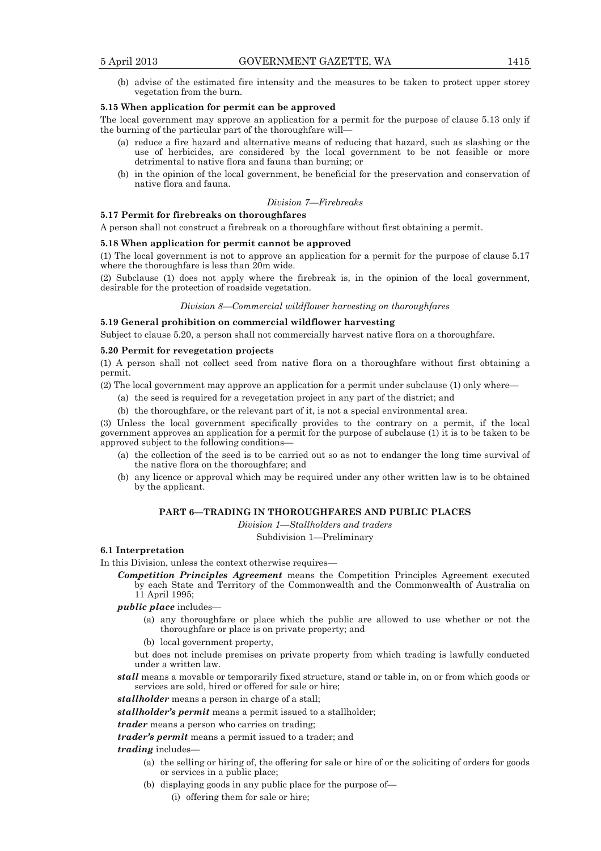- 
- (b) advise of the estimated fire intensity and the measures to be taken to protect upper storey vegetation from the burn.

#### **5.15 When application for permit can be approved**

The local government may approve an application for a permit for the purpose of clause 5.13 only if the burning of the particular part of the thoroughfare will—

- (a) reduce a fire hazard and alternative means of reducing that hazard, such as slashing or the use of herbicides, are considered by the local government to be not feasible or more detrimental to native flora and fauna than burning; or
- (b) in the opinion of the local government, be beneficial for the preservation and conservation of native flora and fauna.

#### *Division 7—Firebreaks*

# **5.17 Permit for firebreaks on thoroughfares**

A person shall not construct a firebreak on a thoroughfare without first obtaining a permit.

### **5.18 When application for permit cannot be approved**

(1) The local government is not to approve an application for a permit for the purpose of clause 5.17 where the thoroughfare is less than 20m wide.

(2) Subclause (1) does not apply where the firebreak is, in the opinion of the local government, desirable for the protection of roadside vegetation.

### *Division 8—Commercial wildflower harvesting on thoroughfares*

**5.19 General prohibition on commercial wildflower harvesting** 

Subject to clause 5.20, a person shall not commercially harvest native flora on a thoroughfare.

### **5.20 Permit for revegetation projects**

(1) A person shall not collect seed from native flora on a thoroughfare without first obtaining a permit.

- (2) The local government may approve an application for a permit under subclause (1) only where—
	- (a) the seed is required for a revegetation project in any part of the district; and
	- (b) the thoroughfare, or the relevant part of it, is not a special environmental area.

(3) Unless the local government specifically provides to the contrary on a permit, if the local government approves an application for a permit for the purpose of subclause (1) it is to be taken to be approved subject to the following conditions—

- (a) the collection of the seed is to be carried out so as not to endanger the long time survival of the native flora on the thoroughfare; and
- (b) any licence or approval which may be required under any other written law is to be obtained by the applicant.

# **PART 6—TRADING IN THOROUGHFARES AND PUBLIC PLACES**

*Division 1—Stallholders and traders* 

Subdivision 1—Preliminary

# **6.1 Interpretation**

In this Division, unless the context otherwise requires—

- *Competition Principles Agreement* means the Competition Principles Agreement executed by each State and Territory of the Commonwealth and the Commonwealth of Australia on 11 April 1995;
- *public place* includes-
	- (a) any thoroughfare or place which the public are allowed to use whether or not the thoroughfare or place is on private property; and
	- (b) local government property,

but does not include premises on private property from which trading is lawfully conducted under a written law.

*stall* means a movable or temporarily fixed structure, stand or table in, on or from which goods or services are sold, hired or offered for sale or hire;

*stallholder* means a person in charge of a stall;

*stallholder's permit* means a permit issued to a stallholder;

*trader* means a person who carries on trading;

*trader's permit* means a permit issued to a trader; and

# *trading* includes—

- (a) the selling or hiring of, the offering for sale or hire of or the soliciting of orders for goods or services in a public place;
- (b) displaying goods in any public place for the purpose of—
	- (i) offering them for sale or hire;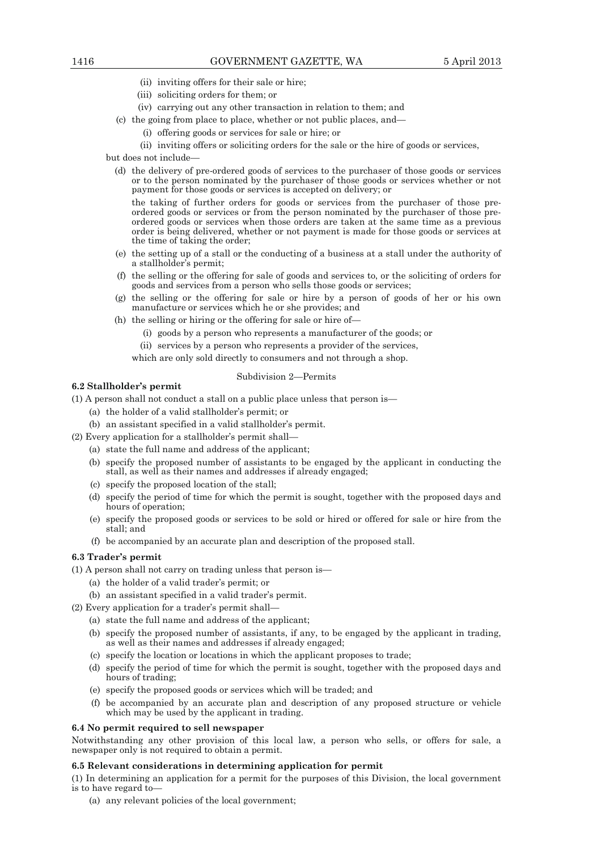- (ii) inviting offers for their sale or hire;
- (iii) soliciting orders for them; or
- (iv) carrying out any other transaction in relation to them; and
- (c) the going from place to place, whether or not public places, and—
	- (i) offering goods or services for sale or hire; or
		- (ii) inviting offers or soliciting orders for the sale or the hire of goods or services,

but does not include—

 (d) the delivery of pre-ordered goods of services to the purchaser of those goods or services or to the person nominated by the purchaser of those goods or services whether or not payment for those goods or services is accepted on delivery; or

 the taking of further orders for goods or services from the purchaser of those preordered goods or services or from the person nominated by the purchaser of those preordered goods or services when those orders are taken at the same time as a previous order is being delivered, whether or not payment is made for those goods or services at the time of taking the order;

- (e) the setting up of a stall or the conducting of a business at a stall under the authority of a stallholder's permit;
- (f) the selling or the offering for sale of goods and services to, or the soliciting of orders for goods and services from a person who sells those goods or services;
- (g) the selling or the offering for sale or hire by a person of goods of her or his own manufacture or services which he or she provides; and
- (h) the selling or hiring or the offering for sale or hire of—
	- (i) goods by a person who represents a manufacturer of the goods; or
	- (ii) services by a person who represents a provider of the services,

which are only sold directly to consumers and not through a shop.

### Subdivision 2—Permits

### **6.2 Stallholder's permit**

(1) A person shall not conduct a stall on a public place unless that person is—

- (a) the holder of a valid stallholder's permit; or
- (b) an assistant specified in a valid stallholder's permit.
- (2) Every application for a stallholder's permit shall—
	- (a) state the full name and address of the applicant;
	- (b) specify the proposed number of assistants to be engaged by the applicant in conducting the stall, as well as their names and addresses if already engaged;
	- (c) specify the proposed location of the stall;
	- (d) specify the period of time for which the permit is sought, together with the proposed days and hours of operation;
	- (e) specify the proposed goods or services to be sold or hired or offered for sale or hire from the stall; and
	- (f) be accompanied by an accurate plan and description of the proposed stall.

# **6.3 Trader's permit**

(1) A person shall not carry on trading unless that person is—

- (a) the holder of a valid trader's permit; or
- (b) an assistant specified in a valid trader's permit.
- (2) Every application for a trader's permit shall—
	- (a) state the full name and address of the applicant;
	- (b) specify the proposed number of assistants, if any, to be engaged by the applicant in trading, as well as their names and addresses if already engaged;
	- (c) specify the location or locations in which the applicant proposes to trade;
	- (d) specify the period of time for which the permit is sought, together with the proposed days and hours of trading;
	- (e) specify the proposed goods or services which will be traded; and
	- (f) be accompanied by an accurate plan and description of any proposed structure or vehicle which may be used by the applicant in trading.

# **6.4 No permit required to sell newspaper**

Notwithstanding any other provision of this local law, a person who sells, or offers for sale, a newspaper only is not required to obtain a permit.

### **6.5 Relevant considerations in determining application for permit**

(1) In determining an application for a permit for the purposes of this Division, the local government is to have regard to—

(a) any relevant policies of the local government;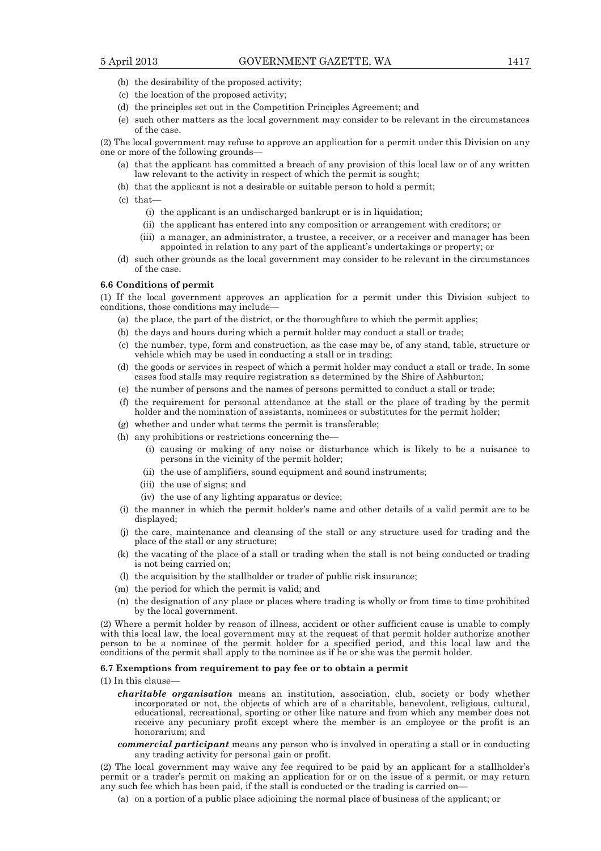- (b) the desirability of the proposed activity;
- (c) the location of the proposed activity;
- (d) the principles set out in the Competition Principles Agreement; and
- (e) such other matters as the local government may consider to be relevant in the circumstances of the case.

(2) The local government may refuse to approve an application for a permit under this Division on any one or more of the following grounds—

- (a) that the applicant has committed a breach of any provision of this local law or of any written law relevant to the activity in respect of which the permit is sought;
- (b) that the applicant is not a desirable or suitable person to hold a permit;
- (c) that—
	- (i) the applicant is an undischarged bankrupt or is in liquidation;
	- (ii) the applicant has entered into any composition or arrangement with creditors; or
	- (iii) a manager, an administrator, a trustee, a receiver, or a receiver and manager has been appointed in relation to any part of the applicant's undertakings or property; or
- (d) such other grounds as the local government may consider to be relevant in the circumstances of the case.

#### **6.6 Conditions of permit**

(1) If the local government approves an application for a permit under this Division subject to conditions, those conditions may include—

- (a) the place, the part of the district, or the thoroughfare to which the permit applies;
- (b) the days and hours during which a permit holder may conduct a stall or trade;
- (c) the number, type, form and construction, as the case may be, of any stand, table, structure or vehicle which may be used in conducting a stall or in trading;
- (d) the goods or services in respect of which a permit holder may conduct a stall or trade. In some cases food stalls may require registration as determined by the Shire of Ashburton;
- (e) the number of persons and the names of persons permitted to conduct a stall or trade;
- (f) the requirement for personal attendance at the stall or the place of trading by the permit holder and the nomination of assistants, nominees or substitutes for the permit holder;
- (g) whether and under what terms the permit is transferable;
- (h) any prohibitions or restrictions concerning the—
	- (i) causing or making of any noise or disturbance which is likely to be a nuisance to persons in the vicinity of the permit holder;
	- (ii) the use of amplifiers, sound equipment and sound instruments;
	- (iii) the use of signs; and
	- (iv) the use of any lighting apparatus or device;
- (i) the manner in which the permit holder's name and other details of a valid permit are to be displayed;
- (j) the care, maintenance and cleansing of the stall or any structure used for trading and the place of the stall or any structure;
- (k) the vacating of the place of a stall or trading when the stall is not being conducted or trading is not being carried on;
- (l) the acquisition by the stallholder or trader of public risk insurance;
- (m) the period for which the permit is valid; and
- (n) the designation of any place or places where trading is wholly or from time to time prohibited by the local government.

(2) Where a permit holder by reason of illness, accident or other sufficient cause is unable to comply with this local law, the local government may at the request of that permit holder authorize another person to be a nominee of the permit holder for a specified period, and this local law and the conditions of the permit shall apply to the nominee as if he or she was the permit holder.

#### **6.7 Exemptions from requirement to pay fee or to obtain a permit**

(1) In this clause—

- *charitable organisation* means an institution, association, club, society or body whether incorporated or not, the objects of which are of a charitable, benevolent, religious, cultural, educational, recreational, sporting or other like nature and from which any member does not receive any pecuniary profit except where the member is an employee or the profit is an honorarium; and
- *commercial participant* means any person who is involved in operating a stall or in conducting any trading activity for personal gain or profit.

(2) The local government may waive any fee required to be paid by an applicant for a stallholder's permit or a trader's permit on making an application for or on the issue of a permit, or may return any such fee which has been paid, if the stall is conducted or the trading is carried on-

(a) on a portion of a public place adjoining the normal place of business of the applicant; or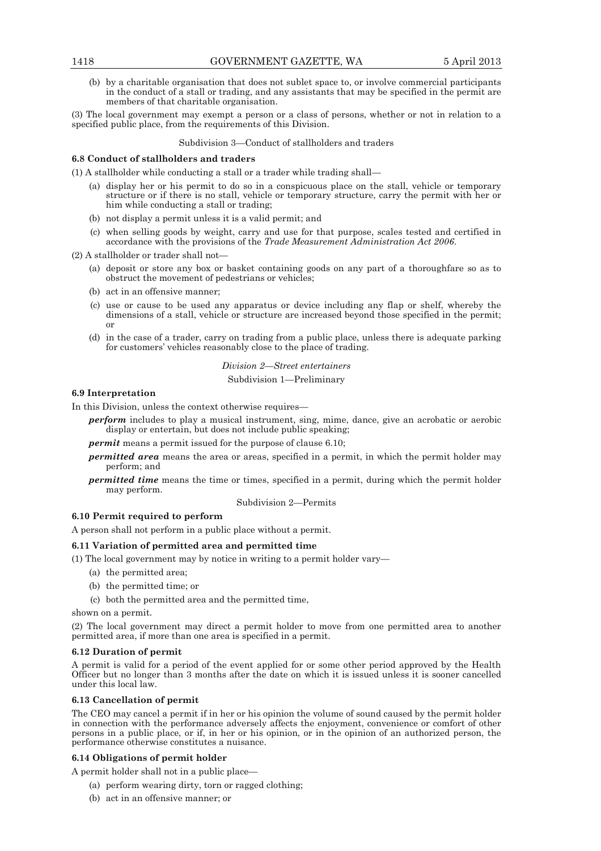(b) by a charitable organisation that does not sublet space to, or involve commercial participants in the conduct of a stall or trading, and any assistants that may be specified in the permit are members of that charitable organisation.

(3) The local government may exempt a person or a class of persons, whether or not in relation to a specified public place, from the requirements of this Division.

### Subdivision 3—Conduct of stallholders and traders

### **6.8 Conduct of stallholders and traders**

(1) A stallholder while conducting a stall or a trader while trading shall—

- (a) display her or his permit to do so in a conspicuous place on the stall, vehicle or temporary structure or if there is no stall, vehicle or temporary structure, carry the permit with her or him while conducting a stall or trading;
- (b) not display a permit unless it is a valid permit; and
- (c) when selling goods by weight, carry and use for that purpose, scales tested and certified in accordance with the provisions of the *Trade Measurement Administration Act 2006*.

 $(2)$  A stallholder or trader shall not

- (a) deposit or store any box or basket containing goods on any part of a thoroughfare so as to obstruct the movement of pedestrians or vehicles;
- (b) act in an offensive manner;
- (c) use or cause to be used any apparatus or device including any flap or shelf, whereby the dimensions of a stall, vehicle or structure are increased beyond those specified in the permit; or
- (d) in the case of a trader, carry on trading from a public place, unless there is adequate parking for customers' vehicles reasonably close to the place of trading.

*Division 2—Street entertainers*  Subdivision 1—Preliminary

### **6.9 Interpretation**

In this Division, unless the context otherwise requires—

*perform* includes to play a musical instrument, sing, mime, dance, give an acrobatic or aerobic display or entertain, but does not include public speaking;

*permit* means a permit issued for the purpose of clause 6.10;

- *permitted area* means the area or areas, specified in a permit, in which the permit holder may perform; and
- *permitted time* means the time or times, specified in a permit, during which the permit holder may perform.

Subdivision 2—Permits

# **6.10 Permit required to perform**

A person shall not perform in a public place without a permit.

## **6.11 Variation of permitted area and permitted time**

(1) The local government may by notice in writing to a permit holder vary—

- (a) the permitted area;
- (b) the permitted time; or
- (c) both the permitted area and the permitted time,

shown on a permit.

(2) The local government may direct a permit holder to move from one permitted area to another permitted area, if more than one area is specified in a permit.

#### **6.12 Duration of permit**

A permit is valid for a period of the event applied for or some other period approved by the Health Officer but no longer than 3 months after the date on which it is issued unless it is sooner cancelled under this local law.

## **6.13 Cancellation of permit**

The CEO may cancel a permit if in her or his opinion the volume of sound caused by the permit holder in connection with the performance adversely affects the enjoyment, convenience or comfort of other persons in a public place, or if, in her or his opinion, or in the opinion of an authorized person, the performance otherwise constitutes a nuisance.

### **6.14 Obligations of permit holder**

A permit holder shall not in a public place—

- (a) perform wearing dirty, torn or ragged clothing;
- (b) act in an offensive manner; or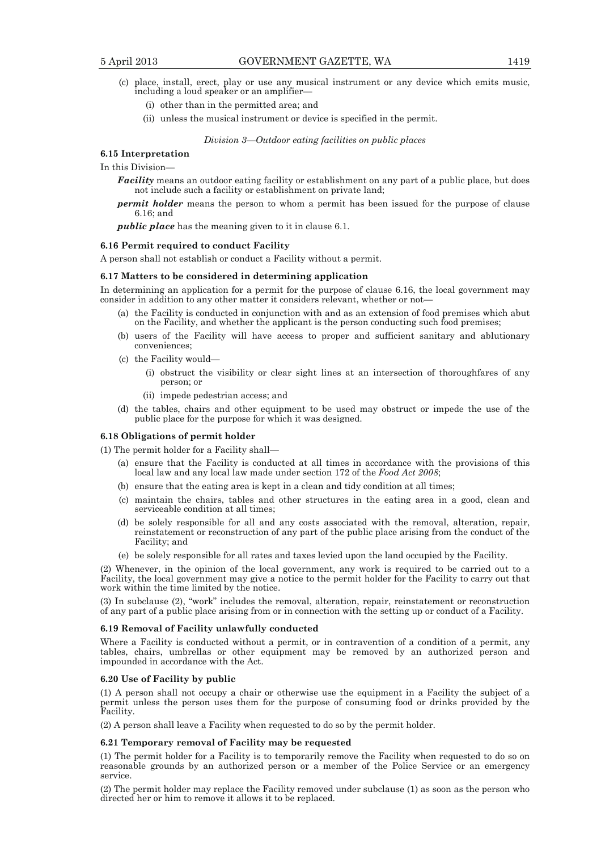- (c) place, install, erect, play or use any musical instrument or any device which emits music, including a loud speaker or an amplifier—
	- (i) other than in the permitted area; and
	- (ii) unless the musical instrument or device is specified in the permit.

*Division 3—Outdoor eating facilities on public places* 

### **6.15 Interpretation**

In this Division—

*Facility* means an outdoor eating facility or establishment on any part of a public place, but does not include such a facility or establishment on private land;

*permit holder* means the person to whom a permit has been issued for the purpose of clause 6.16; and

*public place* has the meaning given to it in clause 6.1.

#### **6.16 Permit required to conduct Facility**

A person shall not establish or conduct a Facility without a permit.

#### **6.17 Matters to be considered in determining application**

In determining an application for a permit for the purpose of clause 6.16, the local government may consider in addition to any other matter it considers relevant, whether or not—

- (a) the Facility is conducted in conjunction with and as an extension of food premises which abut on the Facility, and whether the applicant is the person conducting such food premises;
- (b) users of the Facility will have access to proper and sufficient sanitary and ablutionary conveniences;
- (c) the Facility would—
	- (i) obstruct the visibility or clear sight lines at an intersection of thoroughfares of any person; or
	- (ii) impede pedestrian access; and
- (d) the tables, chairs and other equipment to be used may obstruct or impede the use of the public place for the purpose for which it was designed.

### **6.18 Obligations of permit holder**

(1) The permit holder for a Facility shall—

- (a) ensure that the Facility is conducted at all times in accordance with the provisions of this local law and any local law made under section 172 of the *Food Act 2008*;
- (b) ensure that the eating area is kept in a clean and tidy condition at all times;
- (c) maintain the chairs, tables and other structures in the eating area in a good, clean and serviceable condition at all times;
- (d) be solely responsible for all and any costs associated with the removal, alteration, repair, reinstatement or reconstruction of any part of the public place arising from the conduct of the Facility; and
- (e) be solely responsible for all rates and taxes levied upon the land occupied by the Facility.

(2) Whenever, in the opinion of the local government, any work is required to be carried out to a Facility, the local government may give a notice to the permit holder for the Facility to carry out that work within the time limited by the notice.

(3) In subclause (2), "work" includes the removal, alteration, repair, reinstatement or reconstruction of any part of a public place arising from or in connection with the setting up or conduct of a Facility.

#### **6.19 Removal of Facility unlawfully conducted**

Where a Facility is conducted without a permit, or in contravention of a condition of a permit, any tables, chairs, umbrellas or other equipment may be removed by an authorized person and impounded in accordance with the Act.

#### **6.20 Use of Facility by public**

(1) A person shall not occupy a chair or otherwise use the equipment in a Facility the subject of a permit unless the person uses them for the purpose of consuming food or drinks provided by the Facility.

(2) A person shall leave a Facility when requested to do so by the permit holder.

#### **6.21 Temporary removal of Facility may be requested**

(1) The permit holder for a Facility is to temporarily remove the Facility when requested to do so on reasonable grounds by an authorized person or a member of the Police Service or an emergency service.

(2) The permit holder may replace the Facility removed under subclause (1) as soon as the person who directed her or him to remove it allows it to be replaced.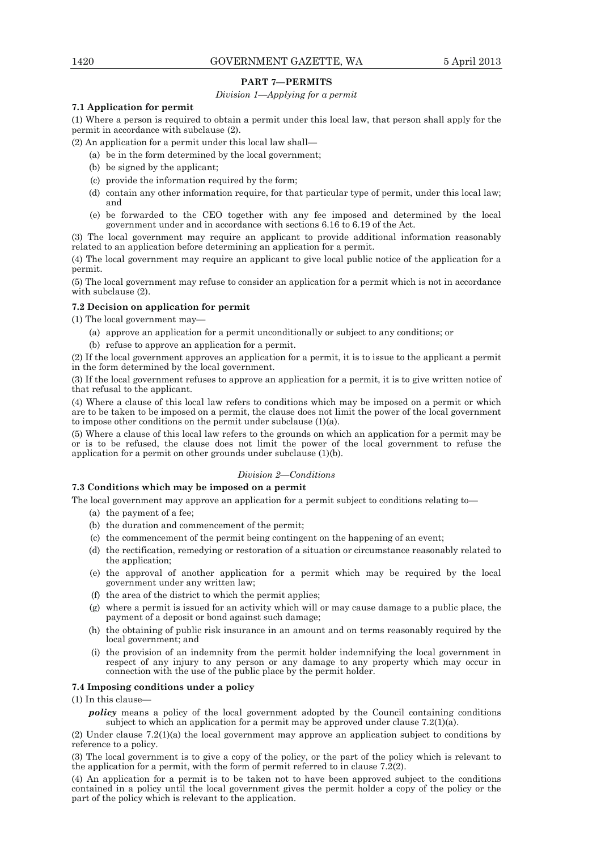# **PART 7—PERMITS**

# *Division 1—Applying for a permit*

# **7.1 Application for permit**

(1) Where a person is required to obtain a permit under this local law, that person shall apply for the permit in accordance with subclause (2).

(2) An application for a permit under this local law shall—

- (a) be in the form determined by the local government;
- (b) be signed by the applicant;
- (c) provide the information required by the form;
- (d) contain any other information require, for that particular type of permit, under this local law; and
- (e) be forwarded to the CEO together with any fee imposed and determined by the local government under and in accordance with sections 6.16 to 6.19 of the Act.

(3) The local government may require an applicant to provide additional information reasonably related to an application before determining an application for a permit.

(4) The local government may require an applicant to give local public notice of the application for a permit.

(5) The local government may refuse to consider an application for a permit which is not in accordance with subclause (2).

# **7.2 Decision on application for permit**

(1) The local government may—

- (a) approve an application for a permit unconditionally or subject to any conditions; or
- (b) refuse to approve an application for a permit.

(2) If the local government approves an application for a permit, it is to issue to the applicant a permit in the form determined by the local government.

(3) If the local government refuses to approve an application for a permit, it is to give written notice of that refusal to the applicant.

(4) Where a clause of this local law refers to conditions which may be imposed on a permit or which are to be taken to be imposed on a permit, the clause does not limit the power of the local government to impose other conditions on the permit under subclause (1)(a).

(5) Where a clause of this local law refers to the grounds on which an application for a permit may be or is to be refused, the clause does not limit the power of the local government to refuse the application for a permit on other grounds under subclause (1)(b).

### *Division 2—Conditions*

### **7.3 Conditions which may be imposed on a permit**

The local government may approve an application for a permit subject to conditions relating to—

- (a) the payment of a fee;
- (b) the duration and commencement of the permit;
- (c) the commencement of the permit being contingent on the happening of an event;
- (d) the rectification, remedying or restoration of a situation or circumstance reasonably related to the application;
- (e) the approval of another application for a permit which may be required by the local government under any written law;
- (f) the area of the district to which the permit applies;
- (g) where a permit is issued for an activity which will or may cause damage to a public place, the payment of a deposit or bond against such damage;
- (h) the obtaining of public risk insurance in an amount and on terms reasonably required by the local government; and
- (i) the provision of an indemnity from the permit holder indemnifying the local government in respect of any injury to any person or any damage to any property which may occur in connection with the use of the public place by the permit holder.

### **7.4 Imposing conditions under a policy**

(1) In this clause—

*policy* means a policy of the local government adopted by the Council containing conditions subject to which an application for a permit may be approved under clause 7.2(1)(a).

(2) Under clause 7.2(1)(a) the local government may approve an application subject to conditions by reference to a policy.

(3) The local government is to give a copy of the policy, or the part of the policy which is relevant to the application for a permit, with the form of permit referred to in clause  $7.\overline{2}(2)$ .

(4) An application for a permit is to be taken not to have been approved subject to the conditions contained in a policy until the local government gives the permit holder a copy of the policy or the part of the policy which is relevant to the application.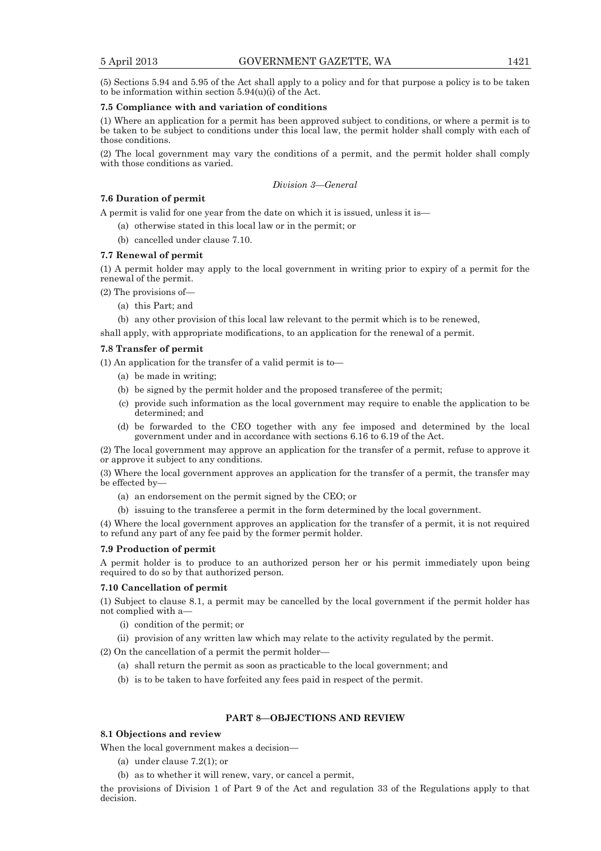(5) Sections 5.94 and 5.95 of the Act shall apply to a policy and for that purpose a policy is to be taken to be information within section  $5.94(u)(i)$  of the Act.

### **7.5 Compliance with and variation of conditions**

(1) Where an application for a permit has been approved subject to conditions, or where a permit is to be taken to be subject to conditions under this local law, the permit holder shall comply with each of those conditions.

(2) The local government may vary the conditions of a permit, and the permit holder shall comply with those conditions as varied.

*Division 3—General* 

# **7.6 Duration of permit**

A permit is valid for one year from the date on which it is issued, unless it is—

- (a) otherwise stated in this local law or in the permit; or
- (b) cancelled under clause 7.10.

### **7.7 Renewal of permit**

(1) A permit holder may apply to the local government in writing prior to expiry of a permit for the renewal of the permit.

(2) The provisions of—

(a) this Part; and

(b) any other provision of this local law relevant to the permit which is to be renewed,

shall apply, with appropriate modifications, to an application for the renewal of a permit.

## **7.8 Transfer of permit**

(1) An application for the transfer of a valid permit is to—

- (a) be made in writing;
- (b) be signed by the permit holder and the proposed transferee of the permit;
- (c) provide such information as the local government may require to enable the application to be determined; and
- (d) be forwarded to the CEO together with any fee imposed and determined by the local government under and in accordance with sections 6.16 to 6.19 of the Act.

(2) The local government may approve an application for the transfer of a permit, refuse to approve it or approve it subject to any conditions.

(3) Where the local government approves an application for the transfer of a permit, the transfer may be effected by—

- (a) an endorsement on the permit signed by the CEO; or
- (b) issuing to the transferee a permit in the form determined by the local government.

(4) Where the local government approves an application for the transfer of a permit, it is not required to refund any part of any fee paid by the former permit holder.

### **7.9 Production of permit**

A permit holder is to produce to an authorized person her or his permit immediately upon being required to do so by that authorized person.

### **7.10 Cancellation of permit**

(1) Subject to clause 8.1, a permit may be cancelled by the local government if the permit holder has not complied with a—

(i) condition of the permit; or

(ii) provision of any written law which may relate to the activity regulated by the permit.

(2) On the cancellation of a permit the permit holder—

- (a) shall return the permit as soon as practicable to the local government; and
- (b) is to be taken to have forfeited any fees paid in respect of the permit.

## **PART 8—OBJECTIONS AND REVIEW**

## **8.1 Objections and review**

When the local government makes a decision—

- (a) under clause 7.2(1); or
- (b) as to whether it will renew, vary, or cancel a permit,

the provisions of Division 1 of Part 9 of the Act and regulation 33 of the Regulations apply to that decision.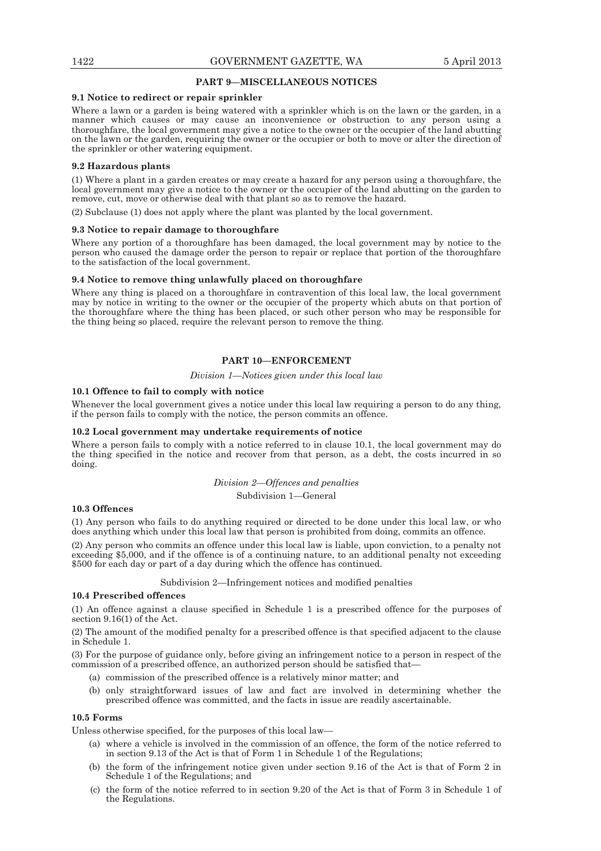### **PART 9—MISCELLANEOUS NOTICES**

#### **9.1 Notice to redirect or repair sprinkler**

Where a lawn or a garden is being watered with a sprinkler which is on the lawn or the garden, in a manner which causes or may cause an inconvenience or obstruction to any person using a thoroughfare, the local government may give a notice to the owner or the occupier of the land abutting on the lawn or the garden, requiring the owner or the occupier or both to move or alter the direction of the sprinkler or other watering equipment.

#### **9.2 Hazardous plants**

(1) Where a plant in a garden creates or may create a hazard for any person using a thoroughfare, the local government may give a notice to the owner or the occupier of the land abutting on the garden to remove, cut, move or otherwise deal with that plant so as to remove the hazard.

(2) Subclause (1) does not apply where the plant was planted by the local government.

#### **9.3 Notice to repair damage to thoroughfare**

Where any portion of a thoroughfare has been damaged, the local government may by notice to the person who caused the damage order the person to repair or replace that portion of the thoroughfare to the satisfaction of the local government.

#### **9.4 Notice to remove thing unlawfully placed on thoroughfare**

Where any thing is placed on a thoroughfare in contravention of this local law, the local government may by notice in writing to the owner or the occupier of the property which abuts on that portion of the thoroughfare where the thing has been placed, or such other person who may be responsible for the thing being so placed, require the relevant person to remove the thing.

# **PART 10—ENFORCEMENT**

#### *Division 1—Notices given under this local law*

### **10.1 Offence to fail to comply with notice**

Whenever the local government gives a notice under this local law requiring a person to do any thing, if the person fails to comply with the notice, the person commits an offence.

#### **10.2 Local government may undertake requirements of notice**

Where a person fails to comply with a notice referred to in clause 10.1, the local government may do the thing specified in the notice and recover from that person, as a debt, the costs incurred in so doing.

### *Division 2—Offences and penalties*

### Subdivision 1—General

#### **10.3 Offences**

(1) Any person who fails to do anything required or directed to be done under this local law, or who does anything which under this local law that person is prohibited from doing, commits an offence.

(2) Any person who commits an offence under this local law is liable, upon conviction, to a penalty not exceeding \$5,000, and if the offence is of a continuing nature, to an additional penalty not exceeding \$500 for each day or part of a day during which the offence has continued.

Subdivision 2—Infringement notices and modified penalties

#### **10.4 Prescribed offences**

(1) An offence against a clause specified in Schedule 1 is a prescribed offence for the purposes of section 9.16(1) of the Act.

(2) The amount of the modified penalty for a prescribed offence is that specified adjacent to the clause in Schedule 1.

(3) For the purpose of guidance only, before giving an infringement notice to a person in respect of the commission of a prescribed offence, an authorized person should be satisfied that—

- (a) commission of the prescribed offence is a relatively minor matter; and
- (b) only straightforward issues of law and fact are involved in determining whether the prescribed offence was committed, and the facts in issue are readily ascertainable.

#### **10.5 Forms**

Unless otherwise specified, for the purposes of this local law—

- (a) where a vehicle is involved in the commission of an offence, the form of the notice referred to in section 9.13 of the Act is that of Form 1 in Schedule 1 of the Regulations;
- (b) the form of the infringement notice given under section 9.16 of the Act is that of Form 2 in Schedule 1 of the Regulations; and
- (c) the form of the notice referred to in section 9.20 of the Act is that of Form 3 in Schedule 1 of the Regulations.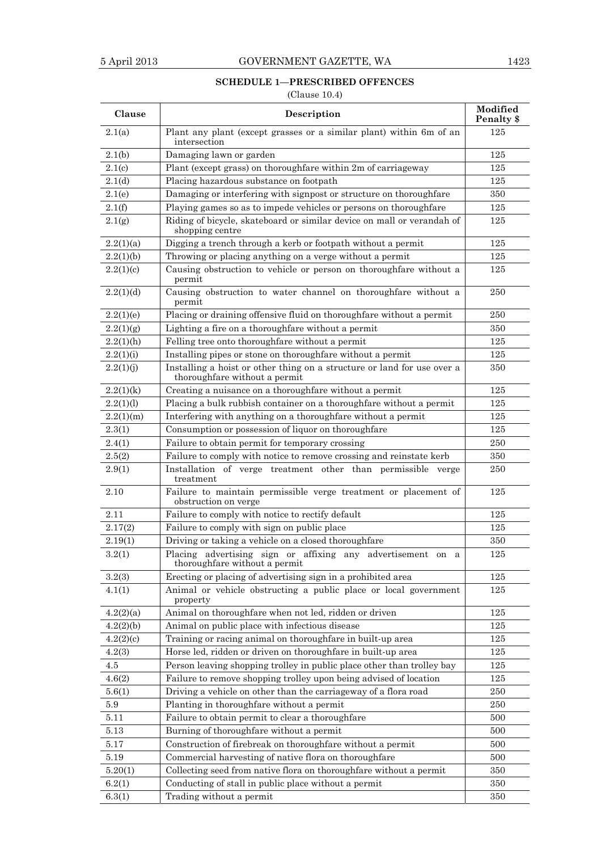# **SCHEDULE 1—PRESCRIBED OFFENCES**

# (Clause 10.4)

| Clause       | Description                                                                                              | Modified<br>Penalty \$ |
|--------------|----------------------------------------------------------------------------------------------------------|------------------------|
| 2.1(a)       | Plant any plant (except grasses or a similar plant) within 6m of an<br>intersection                      | 125                    |
| 2.1(b)       | Damaging lawn or garden                                                                                  | 125                    |
| 2.1(c)       | Plant (except grass) on thoroughfare within 2m of carriageway                                            | 125                    |
| 2.1(d)       | Placing hazardous substance on footpath                                                                  | 125                    |
| 2.1(e)       | Damaging or interfering with signpost or structure on thoroughfare                                       | 350                    |
| 2.1(f)       | Playing games so as to impede vehicles or persons on thoroughfare                                        | 125                    |
| 2.1(g)       | Riding of bicycle, skateboard or similar device on mall or verandah of<br>shopping centre                | 125                    |
| 2.2(1)(a)    | Digging a trench through a kerb or footpath without a permit                                             | 125                    |
| 2.2(1)(b)    | Throwing or placing anything on a verge without a permit                                                 | 125                    |
| 2.2(1)(c)    | Causing obstruction to vehicle or person on thoroughfare without a<br>permit                             | $125\,$                |
| 2.2(1)(d)    | Causing obstruction to water channel on thoroughfare without a<br>permit                                 | 250                    |
| 2.2(1)(e)    | Placing or draining offensive fluid on thoroughfare without a permit                                     | 250                    |
| 2.2(1)(g)    | Lighting a fire on a thoroughfare without a permit                                                       | 350                    |
| $2.2(1)$ (h) | Felling tree onto thoroughfare without a permit                                                          | 125                    |
| 2.2(1)(i)    | Installing pipes or stone on thoroughfare without a permit                                               | 125                    |
| 2.2(1)(j)    | Installing a hoist or other thing on a structure or land for use over a<br>thoroughfare without a permit | 350                    |
| 2.2(1)(k)    | Creating a nuisance on a thoroughfare without a permit                                                   | 125                    |
| 2.2(1)(1)    | Placing a bulk rubbish container on a thoroughfare without a permit                                      | 125                    |
| 2.2(1)(m)    | Interfering with anything on a thoroughfare without a permit                                             | 125                    |
| 2.3(1)       | Consumption or possession of liquor on thoroughfare                                                      | 125                    |
| 2.4(1)       | Failure to obtain permit for temporary crossing                                                          | 250                    |
| 2.5(2)       | Failure to comply with notice to remove crossing and reinstate kerb                                      | 350                    |
| 2.9(1)       | Installation of verge treatment other than permissible verge<br>treatment                                | 250                    |
| 2.10         | Failure to maintain permissible verge treatment or placement of<br>obstruction on verge                  | 125                    |
| 2.11         | Failure to comply with notice to rectify default                                                         | 125                    |
| 2.17(2)      | Failure to comply with sign on public place                                                              | 125                    |
| 2.19(1)      | Driving or taking a vehicle on a closed thoroughfare                                                     | 350                    |
| 3.2(1)       | Placing advertising sign or affixing any advertisement on a<br>thoroughfare without a permit             | 125                    |
| 3.2(3)       | Erecting or placing of advertising sign in a prohibited area                                             | 125                    |
| 4.1(1)       | Animal or vehicle obstructing a public place or local government<br>property                             | 125                    |
| 4.2(2)(a)    | Animal on thoroughfare when not led, ridden or driven                                                    | 125                    |
| 4.2(2)(b)    | Animal on public place with infectious disease                                                           | 125                    |
| 4.2(2)(c)    | Training or racing animal on thoroughfare in built-up area                                               | 125                    |
| 4.2(3)       | Horse led, ridden or driven on thoroughfare in built-up area                                             | 125                    |
| 4.5          | Person leaving shopping trolley in public place other than trolley bay                                   | 125                    |
| 4.6(2)       | Failure to remove shopping trolley upon being advised of location                                        | 125                    |
| 5.6(1)       | Driving a vehicle on other than the carriageway of a flora road                                          | 250                    |
| 5.9          | Planting in thoroughfare without a permit                                                                | 250                    |
| 5.11         | Failure to obtain permit to clear a thorough fare                                                        | 500                    |
| 5.13         | Burning of thoroughfare without a permit                                                                 | 500                    |
| 5.17         | Construction of firebreak on thoroughfare without a permit                                               | 500                    |
| 5.19         | Commercial harvesting of native flora on thoroughfare                                                    | 500                    |
| 5.20(1)      | Collecting seed from native flora on thoroughfare without a permit                                       | 350                    |
| 6.2(1)       | Conducting of stall in public place without a permit                                                     | 350                    |
| 6.3(1)       | Trading without a permit                                                                                 | 350                    |